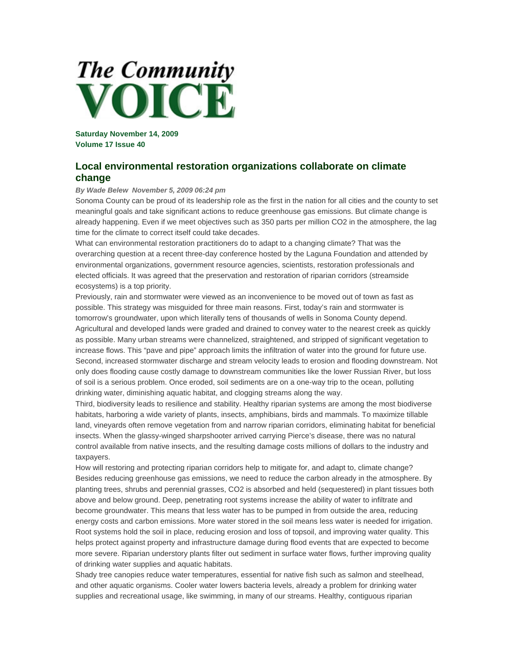## **The Community** OICE

**Saturday November 14, 2009 Volume 17 Issue 40** 

## **Local environmental restoration organizations collaborate on climate change**

## *By Wade Belew November 5, 2009 06:24 pm*

Sonoma County can be proud of its leadership role as the first in the nation for all cities and the county to set meaningful goals and take significant actions to reduce greenhouse gas emissions. But climate change is already happening. Even if we meet objectives such as 350 parts per million CO2 in the atmosphere, the lag time for the climate to correct itself could take decades.

What can environmental restoration practitioners do to adapt to a changing climate? That was the overarching question at a recent three-day conference hosted by the Laguna Foundation and attended by environmental organizations, government resource agencies, scientists, restoration professionals and elected officials. It was agreed that the preservation and restoration of riparian corridors (streamside ecosystems) is a top priority.

Previously, rain and stormwater were viewed as an inconvenience to be moved out of town as fast as possible. This strategy was misguided for three main reasons. First, today's rain and stormwater is tomorrow's groundwater, upon which literally tens of thousands of wells in Sonoma County depend. Agricultural and developed lands were graded and drained to convey water to the nearest creek as quickly as possible. Many urban streams were channelized, straightened, and stripped of significant vegetation to increase flows. This "pave and pipe" approach limits the infiltration of water into the ground for future use. Second, increased stormwater discharge and stream velocity leads to erosion and flooding downstream. Not only does flooding cause costly damage to downstream communities like the lower Russian River, but loss of soil is a serious problem. Once eroded, soil sediments are on a one-way trip to the ocean, polluting drinking water, diminishing aquatic habitat, and clogging streams along the way.

Third, biodiversity leads to resilience and stability. Healthy riparian systems are among the most biodiverse habitats, harboring a wide variety of plants, insects, amphibians, birds and mammals. To maximize tillable land, vineyards often remove vegetation from and narrow riparian corridors, eliminating habitat for beneficial insects. When the glassy-winged sharpshooter arrived carrying Pierce's disease, there was no natural control available from native insects, and the resulting damage costs millions of dollars to the industry and taxpayers.

How will restoring and protecting riparian corridors help to mitigate for, and adapt to, climate change? Besides reducing greenhouse gas emissions, we need to reduce the carbon already in the atmosphere. By planting trees, shrubs and perennial grasses, CO2 is absorbed and held (sequestered) in plant tissues both above and below ground. Deep, penetrating root systems increase the ability of water to infiltrate and become groundwater. This means that less water has to be pumped in from outside the area, reducing energy costs and carbon emissions. More water stored in the soil means less water is needed for irrigation. Root systems hold the soil in place, reducing erosion and loss of topsoil, and improving water quality. This helps protect against property and infrastructure damage during flood events that are expected to become more severe. Riparian understory plants filter out sediment in surface water flows, further improving quality of drinking water supplies and aquatic habitats.

Shady tree canopies reduce water temperatures, essential for native fish such as salmon and steelhead, and other aquatic organisms. Cooler water lowers bacteria levels, already a problem for drinking water supplies and recreational usage, like swimming, in many of our streams. Healthy, contiguous riparian